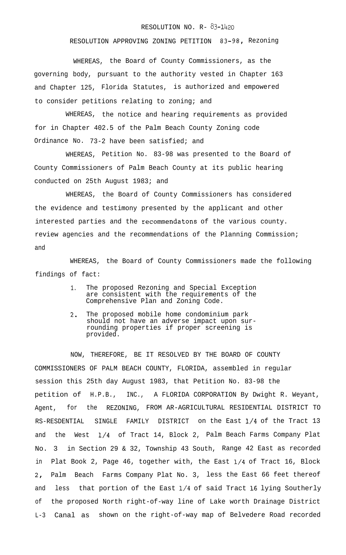## RESOLUTION NO. R- 83-1420

RESOLUTION APPROVING ZONING PETITION 83-98, Rezoning

WHEREAS, the Board of County Commissioners, as the governing body, pursuant to the authority vested in Chapter 163 and Chapter 125, Florida Statutes, is authorized and empowered to consider petitions relating to zoning; and

WHEREAS, the notice and hearing requirements as provided for in Chapter 402.5 of the Palm Beach County Zoning code Ordinance No. 73-2 have been satisfied; and

WHEREAS, Petition No. 83-98 was presented to the Board of County Commissioners of Palm Beach County at its public hearing conducted on 25th August 1983; and

WHEREAS, the Board of County Commissioners has considered the evidence and testimony presented by the applicant and other interested parties and the recommendatons of the various county. review agencies and the recommendations of the Planning Commission; and

WHEREAS, the Board of County Commissioners made the following findings of fact:

- 1. The proposed Rezoning and Special Exception are consistent with the requirements of the Comprehensive Plan and Zoning Code.
- 2. The proposed mobile home condominium park should not have an adverse impact upon surrounding properties if proper screening is provided.

NOW, THEREFORE, BE IT RESOLVED BY THE BOARD OF COUNTY COMMISSIONERS OF PALM BEACH COUNTY, FLORIDA, assembled in regular session this 25th day August 1983, that Petition No. 83-98 the petition of H.P.B., INC., A FLORIDA CORPORATION By Dwight R. Weyant, Agent, for the REZONING, FROM AR-AGRICULTURAL RESIDENTIAL DISTRICT TO RS-RESDENTIAL SINGLE FAMILY DISTRICT on the East l/4 of the Tract 13 and the West l/4 of Tract 14, Block 2, Palm Beach Farms Company Plat No. 3 in Section 29 & 32, Township 43 South, Range 42 East as recorded in Plat Book 2, Page 46, together with, the East l/4 of Tract 16, Block 2, Palm Beach Farms Company Plat No. 3, less the East 66 feet thereof and less that portion of the East l/4 of said Tract 16 lying Southerly of the proposed North right-of-way line of Lake worth Drainage District L-3 Canal as shown on the right-of-way map of Belvedere Road recorded